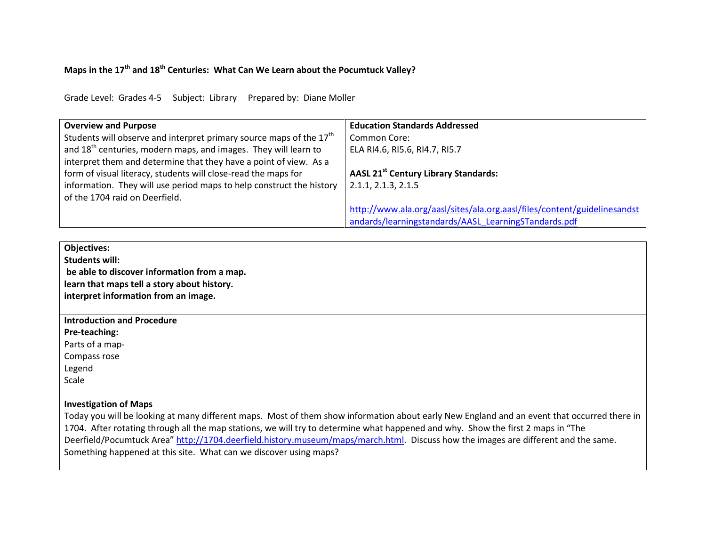## **Maps in the 17th and 18th Centuries: What Can We Learn about the Pocumtuck Valley?**

Grade Level: Grades 4-5 Subject: Library Prepared by: Diane Moller

| <b>Overview and Purpose</b>                                                                                                                                                       | <b>Education Standards Addressed</b>                                     |
|-----------------------------------------------------------------------------------------------------------------------------------------------------------------------------------|--------------------------------------------------------------------------|
| Students will observe and interpret primary source maps of the 17 <sup>th</sup>                                                                                                   | <b>Common Core:</b>                                                      |
| and 18 <sup>th</sup> centuries, modern maps, and images. They will learn to                                                                                                       | ELA RI4.6, RI5.6, RI4.7, RI5.7                                           |
| interpret them and determine that they have a point of view. As a                                                                                                                 | AASL 21 <sup>st</sup> Century Library Standards:                         |
| form of visual literacy, students will close-read the maps for                                                                                                                    | 2.1.1, 2.1.3, 2.1.5                                                      |
| information. They will use period maps to help construct the history                                                                                                              | http://www.ala.org/aasl/sites/ala.org.aasl/files/content/guidelinesandst |
| of the 1704 raid on Deerfield.                                                                                                                                                    | andards/learningstandards/AASL LearningSTandards.pdf                     |
| <b>Objectives:</b><br><b>Students will:</b><br>be able to discover information from a map.<br>learn that maps tell a story about history.<br>interpret information from an image. |                                                                          |

**Introduction and Procedure**

**Pre-teaching:**

Parts of a map-

Compass rose

Legend

Scale

## **Investigation of Maps**

Today you will be looking at many different maps. Most of them show information about early New England and an event that occurred there in 1704. After rotating through all the map stations, we will try to determine what happened and why. Show the first 2 maps in "The Deerfield/Pocumtuck Area" [http://1704.deerfield.history.museum/maps/march.html.](http://1704.deerfield.history.museum/maps/march.html) Discuss how the images are different and the same. Something happened at this site. What can we discover using maps?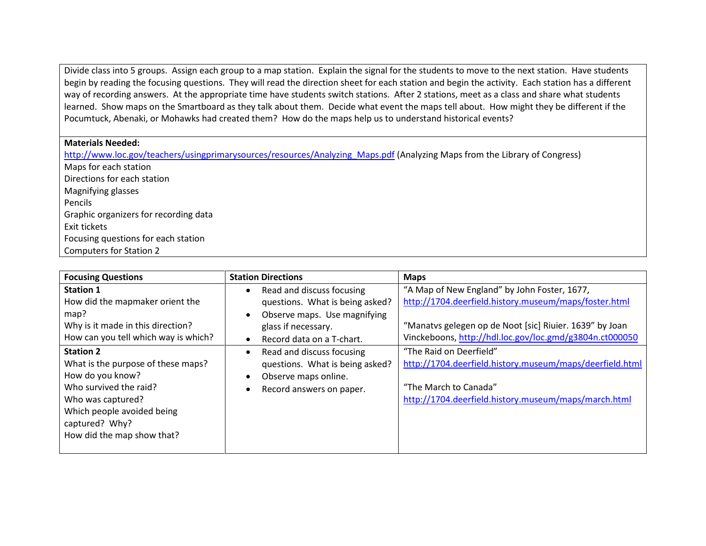Divide class into 5 groups. Assign each group to a map station. Explain the signal for the students to move to the next station. Have students begin by reading the focusing questions. They will read the direction sheet for each station and begin the activity. Each station has a different way of recording answers. At the appropriate time have students switch stations. After 2 stations, meet as a class and share what students learned. Show maps on the Smartboard as they talk about them. Decide what event the maps tell about. How might they be different if the Pocumtuck, Abenaki, or Mohawks had created them? How do the maps help us to understand historical events?

## **Materials Needed:**

[http://www.loc.gov/teachers/usingprimarysources/resources/Analyzing\\_Maps.pdf](http://www.loc.gov/teachers/usingprimarysources/resources/Analyzing_Maps.pdf) (Analyzing Maps from the Library of Congress) Maps for each station Directions for each station Magnifying glasses Pencils Graphic organizers for recording data Exit tickets Focusing questions for each station Computers for Station 2

| <b>Focusing Questions</b>                                                                                                                                                                               | <b>Station Directions</b>                                                                                                        | <b>Maps</b>                                                                                                                                                          |
|---------------------------------------------------------------------------------------------------------------------------------------------------------------------------------------------------------|----------------------------------------------------------------------------------------------------------------------------------|----------------------------------------------------------------------------------------------------------------------------------------------------------------------|
| <b>Station 1</b><br>How did the mapmaker orient the<br>map?<br>Why is it made in this direction?                                                                                                        | Read and discuss focusing<br>$\bullet$<br>questions. What is being asked?<br>Observe maps. Use magnifying<br>glass if necessary. | "A Map of New England" by John Foster, 1677,<br>http://1704.deerfield.history.museum/maps/foster.html<br>"Manatvs gelegen op de Noot [sic] Riuier. 1639" by Joan     |
| How can you tell which way is which?                                                                                                                                                                    | Record data on a T-chart.                                                                                                        | Vinckeboons, http://hdl.loc.gov/loc.gmd/g3804n.ct000050                                                                                                              |
| <b>Station 2</b><br>What is the purpose of these maps?<br>How do you know?<br>Who survived the raid?<br>Who was captured?<br>Which people avoided being<br>captured? Why?<br>How did the map show that? | Read and discuss focusing<br>$\bullet$<br>questions. What is being asked?<br>Observe maps online.<br>Record answers on paper.    | "The Raid on Deerfield"<br>http://1704.deerfield.history.museum/maps/deerfield.html<br>"The March to Canada"<br>http://1704.deerfield.history.museum/maps/march.html |